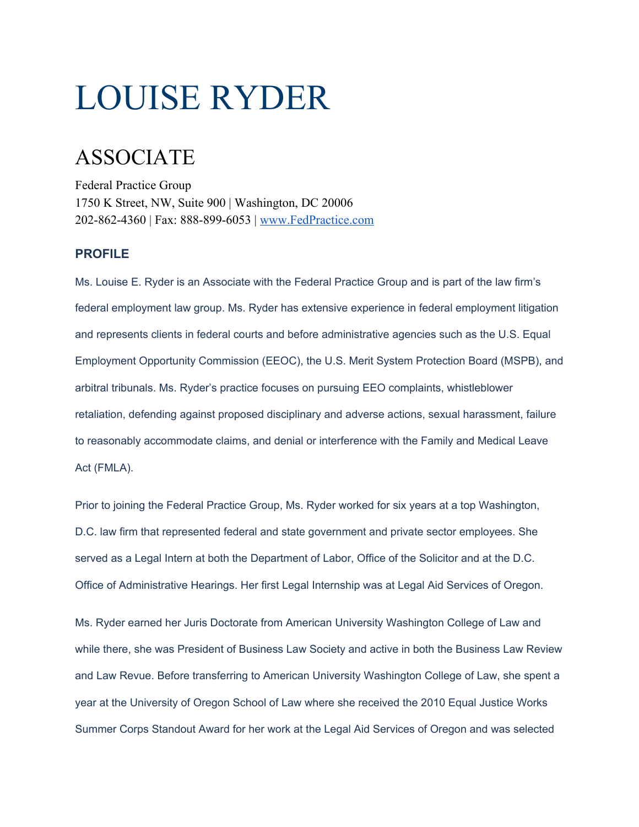# LOUISE RYDER

## ASSOCIATE

Federal Practice Group 1750 K Street, NW, Suite 900 | Washington, DC 20006 202-862-4360 | Fax: 888-899-6053 | [www.FedPractice.com](http://www.fedpractice.com/)

#### **PROFILE**

Ms. Louise E. Ryder is an Associate with the Federal Practice Group and is part of the law firm's federal employment law group. Ms. Ryder has extensive experience in federal employment litigation and represents clients in federal courts and before administrative agencies such as the U.S. Equal Employment Opportunity Commission (EEOC), the U.S. Merit System Protection Board (MSPB), and arbitral tribunals. Ms. Ryder's practice focuses on pursuing EEO complaints, whistleblower retaliation, defending against proposed disciplinary and adverse actions, sexual harassment, failure to reasonably accommodate claims, and denial or interference with the Family and Medical Leave Act (FMLA).

Prior to joining the Federal Practice Group, Ms. Ryder worked for six years at a top Washington, D.C. law firm that represented federal and state government and private sector employees. She served as a Legal Intern at both the Department of Labor, Office of the Solicitor and at the D.C. Office of Administrative Hearings. Her first Legal Internship was at Legal Aid Services of Oregon.

Ms. Ryder earned her Juris Doctorate from American University Washington College of Law and while there, she was President of Business Law Society and active in both the Business Law Review and Law Revue. Before transferring to American University Washington College of Law, she spent a year at the University of Oregon School of Law where she received the 2010 Equal Justice Works Summer Corps Standout Award for her work at the Legal Aid Services of Oregon and was selected